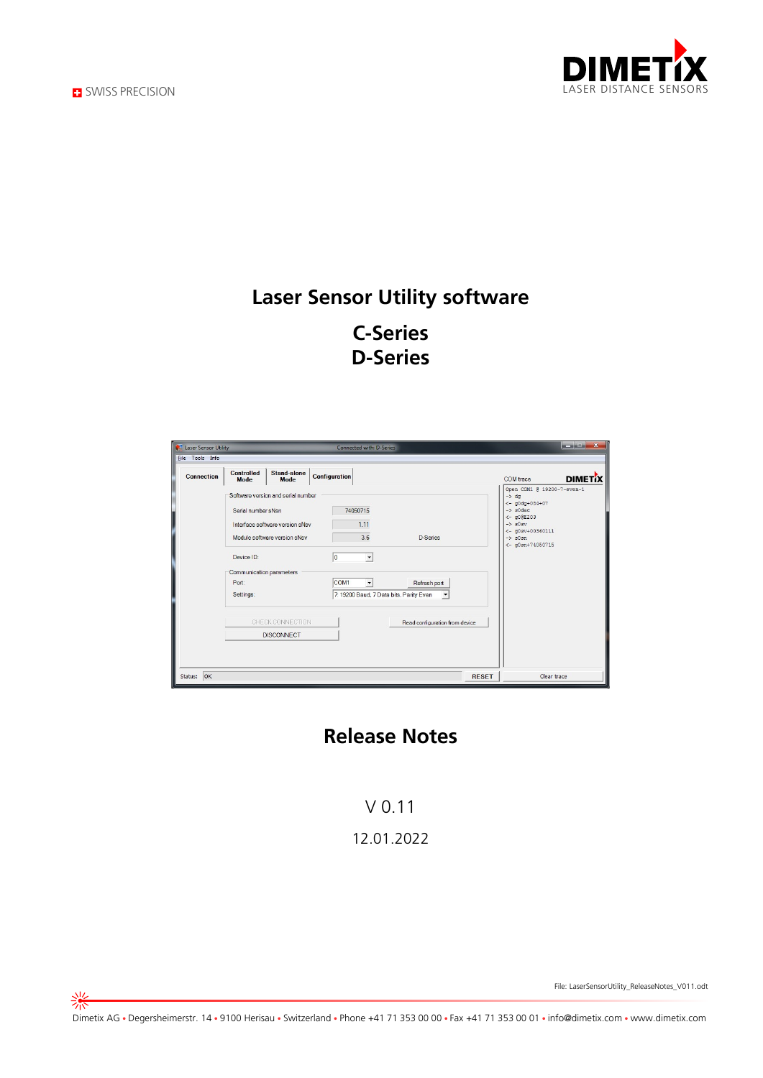

崇



## **Laser Sensor Utility software C-Series D-Series**

| <b>Connection</b> | <b>Controlled</b><br><b>Mode</b>                                                                                                                                                            | Stand-alone<br>Mode | <b>Configuration</b>                                                                                      |                                                                                                    | <b>DIMET</b> IX<br>COM trace                                                                                                                                                                      |
|-------------------|---------------------------------------------------------------------------------------------------------------------------------------------------------------------------------------------|---------------------|-----------------------------------------------------------------------------------------------------------|----------------------------------------------------------------------------------------------------|---------------------------------------------------------------------------------------------------------------------------------------------------------------------------------------------------|
|                   | Software version and serial number<br>Serial number sNsn<br>Interface software version sNsv<br>Module software version sNsv<br>Device ID:<br>Communication parameters<br>Port:<br>Settings: |                     | 74050715<br>1.11<br>3.6<br>$\overline{\phantom{a}}$<br>I٥<br>COM <sub>1</sub><br>$\overline{\phantom{a}}$ | <b>D-Series</b><br>Refresh port<br>7: 19200 Baud, 7 Data bits, Parity Even<br>$\blacktriangledown$ | Open COM1 @ 19200-7-even-1<br>$\rightarrow$ dq<br>$<-$ g0dg+084+07<br>$\rightarrow$ s0dac<br>$<- q00E203$<br>$\rightarrow$ 30sv<br>$<-$ q0sv+00360111<br>$\rightarrow$ s0sn<br>$<-$ q0sn+74050715 |
|                   | CHECK CONNECTION<br><b>DISCONNECT</b>                                                                                                                                                       |                     |                                                                                                           | Read configuration from device                                                                     |                                                                                                                                                                                                   |

#### **Release Notes**

V 0.11 12.01.2022

File: LaserSensorUtility\_ReleaseNotes\_V011.odt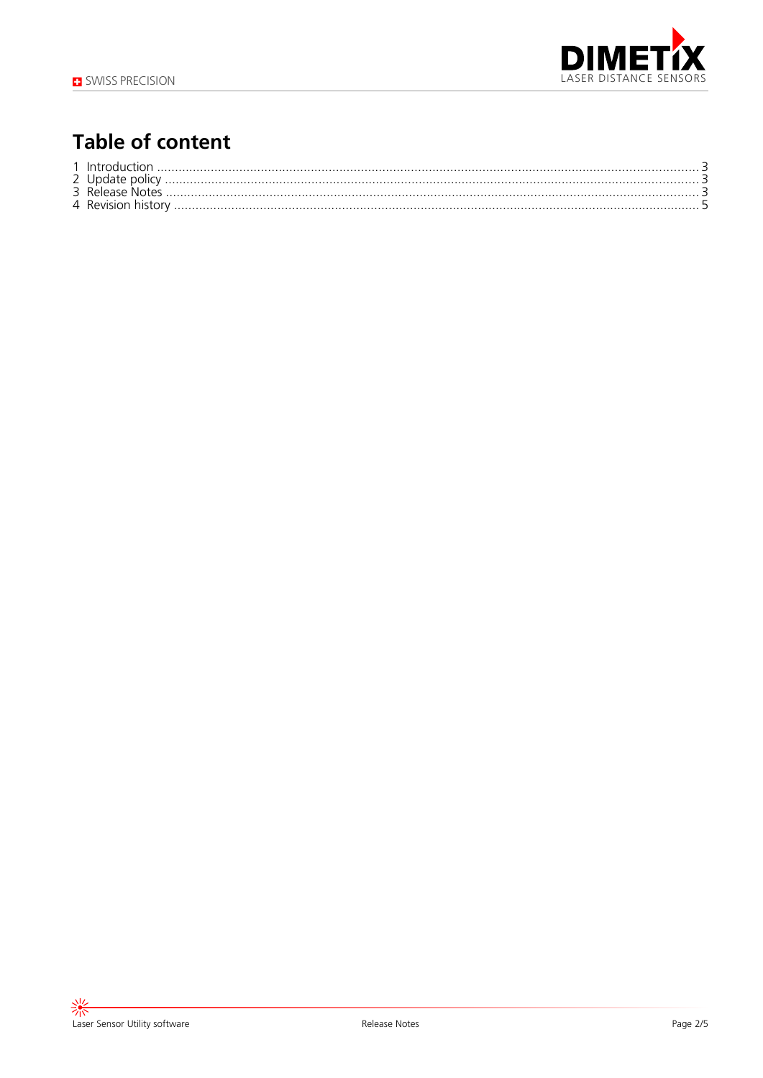

#### **Table of content**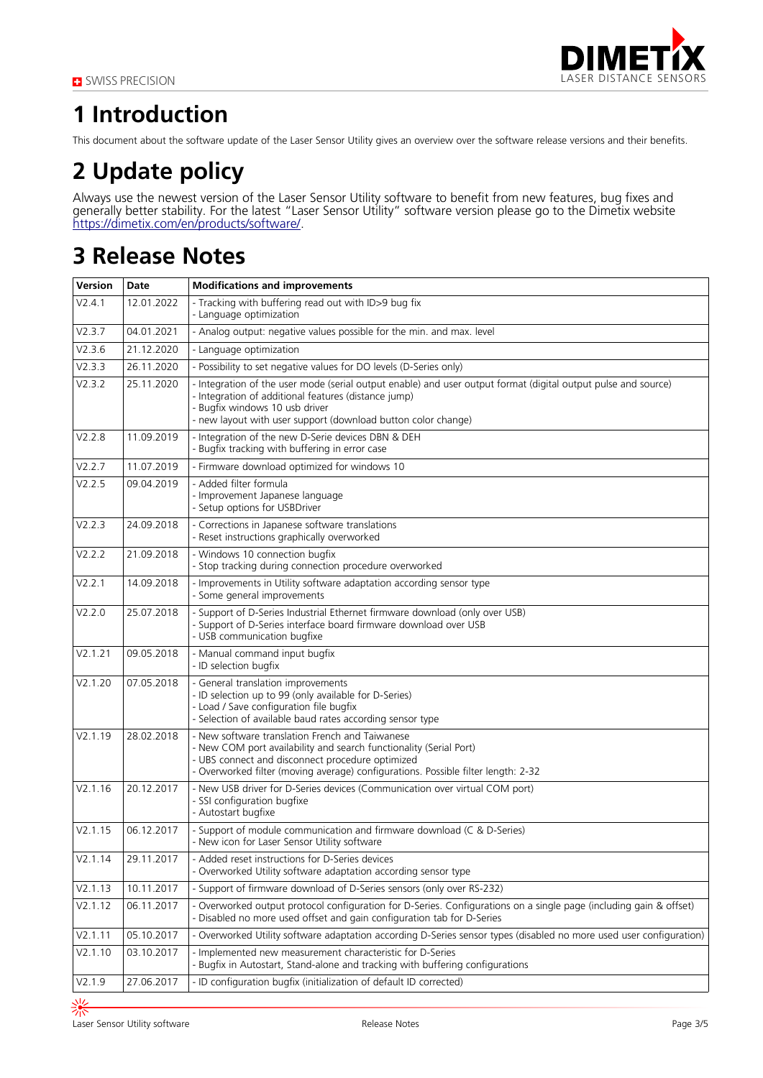

## **1 Introduction**

This document about the software update of the Laser Sensor Utility gives an overview over the software release versions and their benefits.

# **2 Update policy**

Always use the newest version of the Laser Sensor Utility software to benefit from new features, bug fixes and generally better stability. For the latest "Laser Sensor Utility" software version please go to the Dimetix website [https://dimetix.com/en/products/software/.](https://dimetix.com/en/products/software/)

#### **3 Release Notes**

| <b>Version</b> | <b>Date</b> | <b>Modifications and improvements</b>                                                                                                                                                                                                                                     |  |  |
|----------------|-------------|---------------------------------------------------------------------------------------------------------------------------------------------------------------------------------------------------------------------------------------------------------------------------|--|--|
| V2.4.1         | 12.01.2022  | - Tracking with buffering read out with ID>9 bug fix<br>- Language optimization                                                                                                                                                                                           |  |  |
| V2.3.7         | 04.01.2021  | - Analog output: negative values possible for the min. and max. level                                                                                                                                                                                                     |  |  |
| V2.3.6         | 21.12.2020  | - Language optimization                                                                                                                                                                                                                                                   |  |  |
| V2.3.3         | 26.11.2020  | - Possibility to set negative values for DO levels (D-Series only)                                                                                                                                                                                                        |  |  |
| V2.3.2         | 25.11.2020  | - Integration of the user mode (serial output enable) and user output format (digital output pulse and source)<br>- Integration of additional features (distance jump)<br>- Bugfix windows 10 usb driver<br>- new layout with user support (download button color change) |  |  |
| V2.2.8         | 11.09.2019  | - Integration of the new D-Serie devices DBN & DEH<br>- Bugfix tracking with buffering in error case                                                                                                                                                                      |  |  |
| V2.2.7         | 11.07.2019  | - Firmware download optimized for windows 10                                                                                                                                                                                                                              |  |  |
| V2.2.5         | 09.04.2019  | - Added filter formula<br>- Improvement Japanese language<br>- Setup options for USBDriver                                                                                                                                                                                |  |  |
| V2.2.3         | 24.09.2018  | - Corrections in Japanese software translations<br>- Reset instructions graphically overworked                                                                                                                                                                            |  |  |
| V2.2.2         | 21.09.2018  | - Windows 10 connection bugfix<br>- Stop tracking during connection procedure overworked                                                                                                                                                                                  |  |  |
| V2.2.1         | 14.09.2018  | - Improvements in Utility software adaptation according sensor type<br>- Some general improvements                                                                                                                                                                        |  |  |
| V2.2.0         | 25.07.2018  | - Support of D-Series Industrial Ethernet firmware download (only over USB)<br>- Support of D-Series interface board firmware download over USB<br>- USB communication bugfixe                                                                                            |  |  |
| V2.1.21        | 09.05.2018  | - Manual command input bugfix<br>- ID selection bugfix                                                                                                                                                                                                                    |  |  |
| V2.1.20        | 07.05.2018  | - General translation improvements<br>- ID selection up to 99 (only available for D-Series)<br>- Load / Save configuration file bugfix<br>- Selection of available baud rates according sensor type                                                                       |  |  |
| V2.1.19        | 28.02.2018  | - New software translation French and Taiwanese<br>- New COM port availability and search functionality (Serial Port)<br>- UBS connect and disconnect procedure optimized<br>- Overworked filter (moving average) configurations. Possible filter length: 2-32            |  |  |
| V2.1.16        | 20.12.2017  | - New USB driver for D-Series devices (Communication over virtual COM port)<br>- SSI configuration bugfixe<br>- Autostart bugfixe                                                                                                                                         |  |  |
| V2.1.15        | 06.12.2017  | - Support of module communication and firmware download (C & D-Series)<br>- New icon for Laser Sensor Utility software                                                                                                                                                    |  |  |
| V2.1.14        | 29.11.2017  | - Added reset instructions for D-Series devices<br>- Overworked Utility software adaptation according sensor type                                                                                                                                                         |  |  |
| V2.1.13        | 10.11.2017  | - Support of firmware download of D-Series sensors (only over RS-232)                                                                                                                                                                                                     |  |  |
| V2.1.12        | 06.11.2017  | - Overworked output protocol configuration for D-Series. Configurations on a single page (including gain & offset)<br>- Disabled no more used offset and gain configuration tab for D-Series                                                                              |  |  |
| V2.1.11        | 05.10.2017  | - Overworked Utility software adaptation according D-Series sensor types (disabled no more used user configuration)                                                                                                                                                       |  |  |
| V2.1.10        | 03.10.2017  | - Implemented new measurement characteristic for D-Series<br>- Bugfix in Autostart, Stand-alone and tracking with buffering configurations                                                                                                                                |  |  |
| V2.1.9         | 27.06.2017  | - ID configuration bugfix (initialization of default ID corrected)                                                                                                                                                                                                        |  |  |
|                |             |                                                                                                                                                                                                                                                                           |  |  |

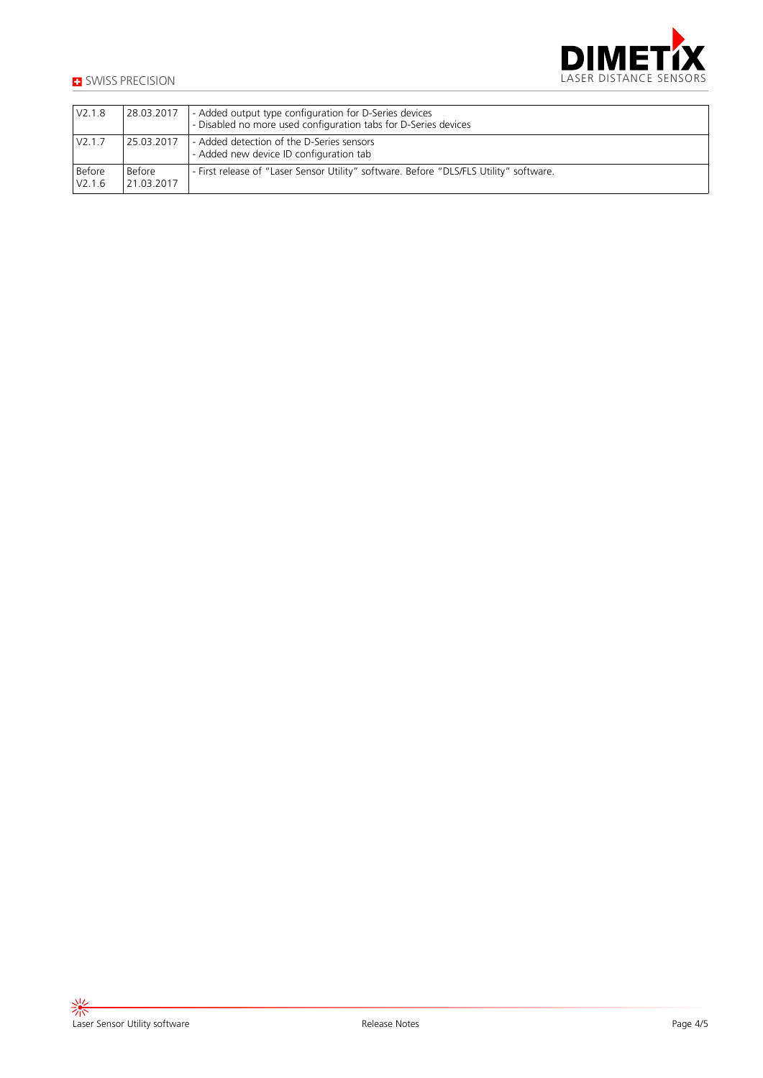

| V2.1.8           | 28.03.2017           | - Added output type configuration for D-Series devices<br>- Disabled no more used configuration tabs for D-Series devices |
|------------------|----------------------|---------------------------------------------------------------------------------------------------------------------------|
| V2.1.7           | 25.03.2017           | - Added detection of the D-Series sensors<br>- Added new device ID configuration tab                                      |
| Before<br>V2.1.6 | Before<br>21.03.2017 | - First release of "Laser Sensor Utility" software. Before "DLS/FLS Utility" software.                                    |